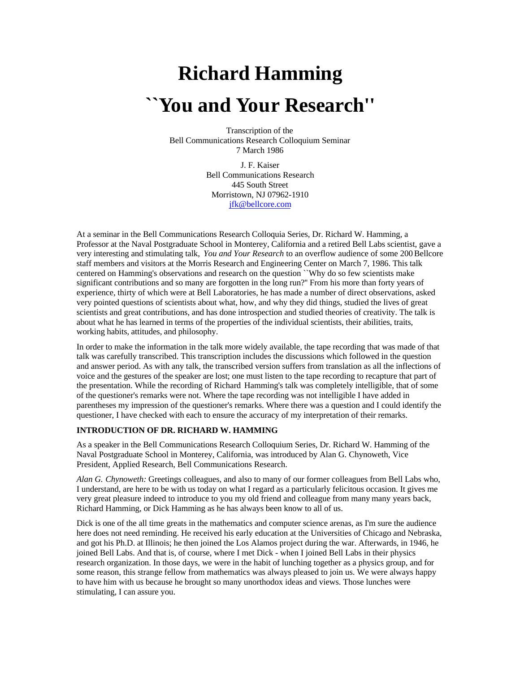# **Richard Hamming ``You and Your Research''**

Transcription of the Bell Communications Research Colloquium Seminar 7 March 1986

> J. F. Kaiser Bell Communications Research 445 South Street Morristown, NJ 07962-1910 jfk@bellcore.com

At a seminar in the Bell Communications Research Colloquia Series, Dr. Richard W. Hamming, a Professor at the Naval Postgraduate School in Monterey, California and a retired Bell Labs scientist, gave a very interesting and stimulating talk, *You and Your Research* to an overflow audience of some 200 Bellcore staff members and visitors at the Morris Research and Engineering Center on March 7, 1986. This talk centered on Hamming's observations and research on the question ``Why do so few scientists make significant contributions and so many are forgotten in the long run?'' From his more than forty years of experience, thirty of which were at Bell Laboratories, he has made a number of direct observations, asked very pointed questions of scientists about what, how, and why they did things, studied the lives of great scientists and great contributions, and has done introspection and studied theories of creativity. The talk is about what he has learned in terms of the properties of the individual scientists, their abilities, traits, working habits, attitudes, and philosophy.

In order to make the information in the talk more widely available, the tape recording that was made of that talk was carefully transcribed. This transcription includes the discussions which followed in the question and answer period. As with any talk, the transcribed version suffers from translation as all the inflections of voice and the gestures of the speaker are lost; one must listen to the tape recording to recapture that part of the presentation. While the recording of Richard Hamming's talk was completely intelligible, that of some of the questioner's remarks were not. Where the tape recording was not intelligible I have added in parentheses my impression of the questioner's remarks. Where there was a question and I could identify the questioner, I have checked with each to ensure the accuracy of my interpretation of their remarks.

# **INTRODUCTION OF DR. RICHARD W. HAMMING**

As a speaker in the Bell Communications Research Colloquium Series, Dr. Richard W. Hamming of the Naval Postgraduate School in Monterey, California, was introduced by Alan G. Chynoweth, Vice President, Applied Research, Bell Communications Research.

*Alan G. Chynoweth:* Greetings colleagues, and also to many of our former colleagues from Bell Labs who, I understand, are here to be with us today on what I regard as a particularly felicitous occasion. It gives me very great pleasure indeed to introduce to you my old friend and colleague from many many years back, Richard Hamming, or Dick Hamming as he has always been know to all of us.

Dick is one of the all time greats in the mathematics and computer science arenas, as I'm sure the audience here does not need reminding. He received his early education at the Universities of Chicago and Nebraska, and got his Ph.D. at Illinois; he then joined the Los Alamos project during the war. Afterwards, in 1946, he joined Bell Labs. And that is, of course, where I met Dick - when I joined Bell Labs in their physics research organization. In those days, we were in the habit of lunching together as a physics group, and for some reason, this strange fellow from mathematics was always pleased to join us. We were always happy to have him with us because he brought so many unorthodox ideas and views. Those lunches were stimulating, I can assure you.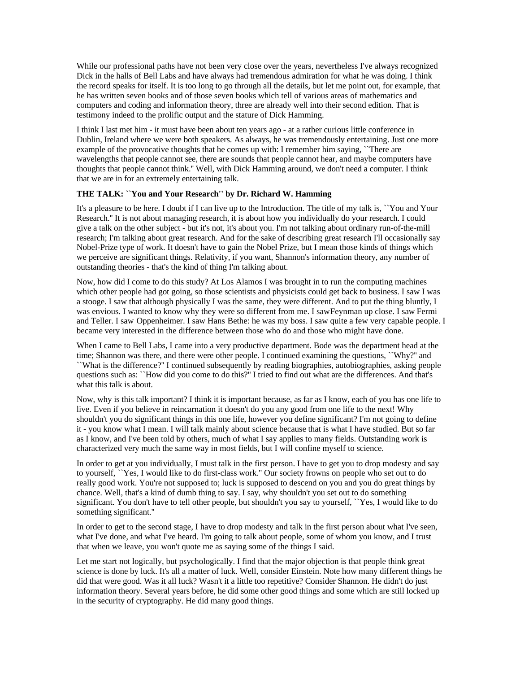While our professional paths have not been very close over the years, nevertheless I've always recognized Dick in the halls of Bell Labs and have always had tremendous admiration for what he was doing. I think the record speaks for itself. It is too long to go through all the details, but let me point out, for example, that he has written seven books and of those seven books which tell of various areas of mathematics and computers and coding and information theory, three are already well into their second edition. That is testimony indeed to the prolific output and the stature of Dick Hamming.

I think I last met him - it must have been about ten years ago - at a rather curious little conference in Dublin, Ireland where we were both speakers. As always, he was tremendously entertaining. Just one more example of the provocative thoughts that he comes up with: I remember him saying, ``There are wavelengths that people cannot see, there are sounds that people cannot hear, and maybe computers have thoughts that people cannot think.'' Well, with Dick Hamming around, we don't need a computer. I think that we are in for an extremely entertaining talk.

### **THE TALK: ``You and Your Research'' by Dr. Richard W. Hamming**

It's a pleasure to be here. I doubt if I can live up to the Introduction. The title of my talk is, ``You and Your Research.'' It is not about managing research, it is about how you individually do your research. I could give a talk on the other subject - but it's not, it's about you. I'm not talking about ordinary run-of-the-mill research; I'm talking about great research. And for the sake of describing great research I'll occasionally say Nobel-Prize type of work. It doesn't have to gain the Nobel Prize, but I mean those kinds of things which we perceive are significant things. Relativity, if you want, Shannon's information theory, any number of outstanding theories - that's the kind of thing I'm talking about.

Now, how did I come to do this study? At Los Alamos I was brought in to run the computing machines which other people had got going, so those scientists and physicists could get back to business. I saw I was a stooge. I saw that although physically I was the same, they were different. And to put the thing bluntly, I was envious. I wanted to know why they were so different from me. I saw Feynman up close. I saw Fermi and Teller. I saw Oppenheimer. I saw Hans Bethe: he was my boss. I saw quite a few very capable people. I became very interested in the difference between those who do and those who might have done.

When I came to Bell Labs, I came into a very productive department. Bode was the department head at the time; Shannon was there, and there were other people. I continued examining the questions, ``Why?'' and ``What is the difference?'' I continued subsequently by reading biographies, autobiographies, asking people questions such as: ``How did you come to do this?'' I tried to find out what are the differences. And that's what this talk is about.

Now, why is this talk important? I think it is important because, as far as I know, each of you has one life to live. Even if you believe in reincarnation it doesn't do you any good from one life to the next! Why shouldn't you do significant things in this one life, however you define significant? I'm not going to define it - you know what I mean. I will talk mainly about science because that is what I have studied. But so far as I know, and I've been told by others, much of what I say applies to many fields. Outstanding work is characterized very much the same way in most fields, but I will confine myself to science.

In order to get at you individually, I must talk in the first person. I have to get you to drop modesty and say to yourself, ``Yes, I would like to do first-class work.'' Our society frowns on people who set out to do really good work. You're not supposed to; luck is supposed to descend on you and you do great things by chance. Well, that's a kind of dumb thing to say. I say, why shouldn't you set out to do something significant. You don't have to tell other people, but shouldn't you say to yourself, ``Yes, I would like to do something significant.''

In order to get to the second stage, I have to drop modesty and talk in the first person about what I've seen, what I've done, and what I've heard. I'm going to talk about people, some of whom you know, and I trust that when we leave, you won't quote me as saying some of the things I said.

Let me start not logically, but psychologically. I find that the major objection is that people think great science is done by luck. It's all a matter of luck. Well, consider Einstein. Note how many different things he did that were good. Was it all luck? Wasn't it a little too repetitive? Consider Shannon. He didn't do just information theory. Several years before, he did some other good things and some which are still locked up in the security of cryptography. He did many good things.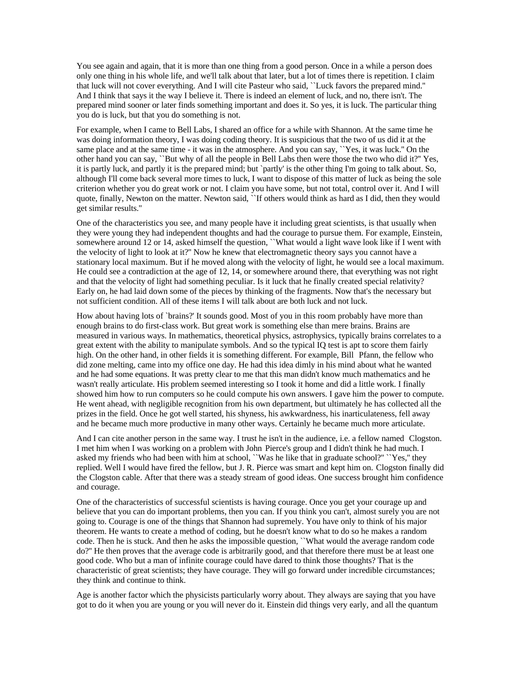You see again and again, that it is more than one thing from a good person. Once in a while a person does only one thing in his whole life, and we'll talk about that later, but a lot of times there is repetition. I claim that luck will not cover everything. And I will cite Pasteur who said, ``Luck favors the prepared mind.'' And I think that says it the way I believe it. There is indeed an element of luck, and no, there isn't. The prepared mind sooner or later finds something important and does it. So yes, it is luck. The particular thing you do is luck, but that you do something is not.

For example, when I came to Bell Labs, I shared an office for a while with Shannon. At the same time he was doing information theory, I was doing coding theory. It is suspicious that the two of us did it at the same place and at the same time - it was in the atmosphere. And you can say, "Yes, it was luck." On the other hand you can say, ``But why of all the people in Bell Labs then were those the two who did it?'' Yes, it is partly luck, and partly it is the prepared mind; but `partly' is the other thing I'm going to talk about. So, although I'll come back several more times to luck, I want to dispose of this matter of luck as being the sole criterion whether you do great work or not. I claim you have some, but not total, control over it. And I will quote, finally, Newton on the matter. Newton said, ``If others would think as hard as I did, then they would get similar results.''

One of the characteristics you see, and many people have it including great scientists, is that usually when they were young they had independent thoughts and had the courage to pursue them. For example, Einstein, somewhere around 12 or 14, asked himself the question, ``What would a light wave look like if I went with the velocity of light to look at it?'' Now he knew that electromagnetic theory says you cannot have a stationary local maximum. But if he moved along with the velocity of light, he would see a local maximum. He could see a contradiction at the age of 12, 14, or somewhere around there, that everything was not right and that the velocity of light had something peculiar. Is it luck that he finally created special relativity? Early on, he had laid down some of the pieces by thinking of the fragments. Now that's the necessary but not sufficient condition. All of these items I will talk about are both luck and not luck.

How about having lots of `brains?' It sounds good. Most of you in this room probably have more than enough brains to do first-class work. But great work is something else than mere brains. Brains are measured in various ways. In mathematics, theoretical physics, astrophysics, typically brains correlates to a great extent with the ability to manipulate symbols. And so the typical IQ test is apt to score them fairly high. On the other hand, in other fields it is something different. For example, Bill Pfann, the fellow who did zone melting, came into my office one day. He had this idea dimly in his mind about what he wanted and he had some equations. It was pretty clear to me that this man didn't know much mathematics and he wasn't really articulate. His problem seemed interesting so I took it home and did a little work. I finally showed him how to run computers so he could compute his own answers. I gave him the power to compute. He went ahead, with negligible recognition from his own department, but ultimately he has collected all the prizes in the field. Once he got well started, his shyness, his awkwardness, his inarticulateness, fell away and he became much more productive in many other ways. Certainly he became much more articulate.

And I can cite another person in the same way. I trust he isn't in the audience, i.e. a fellow named Clogston. I met him when I was working on a problem with John Pierce's group and I didn't think he had much. I asked my friends who had been with him at school, ``Was he like that in graduate school?'' ``Yes," they replied. Well I would have fired the fellow, but J. R. Pierce was smart and kept him on. Clogston finally did the Clogston cable. After that there was a steady stream of good ideas. One success brought him confidence and courage.

One of the characteristics of successful scientists is having courage. Once you get your courage up and believe that you can do important problems, then you can. If you think you can't, almost surely you are not going to. Courage is one of the things that Shannon had supremely. You have only to think of his major theorem. He wants to create a method of coding, but he doesn't know what to do so he makes a random code. Then he is stuck. And then he asks the impossible question, ``What would the average random code do?'' He then proves that the average code is arbitrarily good, and that therefore there must be at least one good code. Who but a man of infinite courage could have dared to think those thoughts? That is the characteristic of great scientists; they have courage. They will go forward under incredible circumstances; they think and continue to think.

Age is another factor which the physicists particularly worry about. They always are saying that you have got to do it when you are young or you will never do it. Einstein did things very early, and all the quantum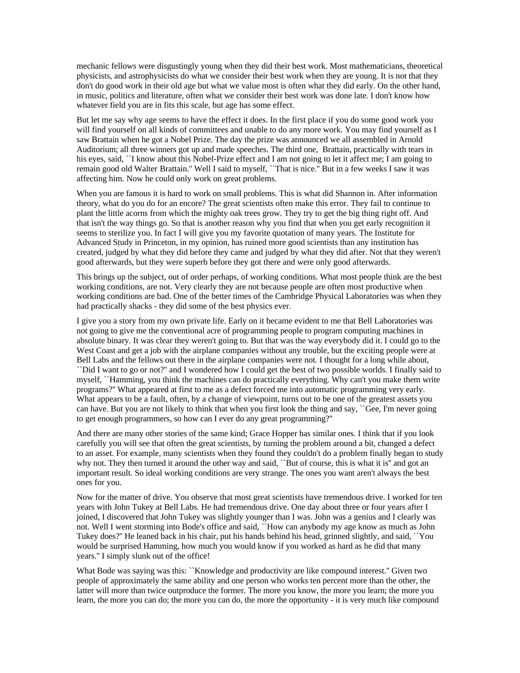mechanic fellows were disgustingly young when they did their best work. Most mathematicians, theoretical physicists, and astrophysicists do what we consider their best work when they are young. It is not that they don't do good work in their old age but what we value most is often what they did early. On the other hand, in music, politics and literature, often what we consider their best work was done late. I don't know how whatever field you are in fits this scale, but age has some effect.

But let me say why age seems to have the effect it does. In the first place if you do some good work you will find yourself on all kinds of committees and unable to do any more work. You may find yourself as I saw Brattain when he got a Nobel Prize. The day the prize was announced we all assembled in Arnold Auditorium; all three winners got up and made speeches. The third one, Brattain, practically with tears in his eyes, said, ``I know about this Nobel-Prize effect and I am not going to let it affect me; I am going to remain good old Walter Brattain.'' Well I said to myself, ``That is nice.'' But in a few weeks I saw it was affecting him. Now he could only work on great problems.

When you are famous it is hard to work on small problems. This is what did Shannon in. After information theory, what do you do for an encore? The great scientists often make this error. They fail to continue to plant the little acorns from which the mighty oak trees grow. They try to get the big thing right off. And that isn't the way things go. So that is another reason why you find that when you get early recognition it seems to sterilize you. In fact I will give you my favorite quotation of many years. The Institute for Advanced Study in Princeton, in my opinion, has ruined more good scientists than any institution has created, judged by what they did before they came and judged by what they did after. Not that they weren't good afterwards, but they were superb before they got there and were only good afterwards.

This brings up the subject, out of order perhaps, of working conditions. What most people think are the best working conditions, are not. Very clearly they are not because people are often most productive when working conditions are bad. One of the better times of the Cambridge Physical Laboratories was when they had practically shacks - they did some of the best physics ever.

I give you a story from my own private life. Early on it became evident to me that Bell Laboratories was not going to give me the conventional acre of programming people to program computing machines in absolute binary. It was clear they weren't going to. But that was the way everybody did it. I could go to the West Coast and get a job with the airplane companies without any trouble, but the exciting people were at Bell Labs and the fellows out there in the airplane companies were not. I thought for a long while about, ``Did I want to go or not?'' and I wondered how I could get the best of two possible worlds. I finally said to myself, ``Hamming, you think the machines can do practically everything. Why can't you make them write programs?'' What appeared at first to me as a defect forced me into automatic programming very early. What appears to be a fault, often, by a change of viewpoint, turns out to be one of the greatest assets you can have. But you are not likely to think that when you first look the thing and say, ``Gee, I'm never going to get enough programmers, so how can I ever do any great programming?''

And there are many other stories of the same kind; Grace Hopper has similar ones. I think that if you look carefully you will see that often the great scientists, by turning the problem around a bit, changed a defect to an asset. For example, many scientists when they found they couldn't do a problem finally began to study why not. They then turned it around the other way and said, "But of course, this is what it is" and got an important result. So ideal working conditions are very strange. The ones you want aren't always the best ones for you.

Now for the matter of drive. You observe that most great scientists have tremendous drive. I worked for ten years with John Tukey at Bell Labs. He had tremendous drive. One day about three or four years after I joined, I discovered that John Tukey was slightly younger than I was. John was a genius and I clearly was not. Well I went storming into Bode's office and said, ``How can anybody my age know as much as John Tukey does?'' He leaned back in his chair, put his hands behind his head, grinned slightly, and said, ``You would be surprised Hamming, how much you would know if you worked as hard as he did that many years.'' I simply slunk out of the office!

What Bode was saying was this: ``Knowledge and productivity are like compound interest." Given two people of approximately the same ability and one person who works ten percent more than the other, the latter will more than twice outproduce the former. The more you know, the more you learn; the more you learn, the more you can do; the more you can do, the more the opportunity - it is very much like compound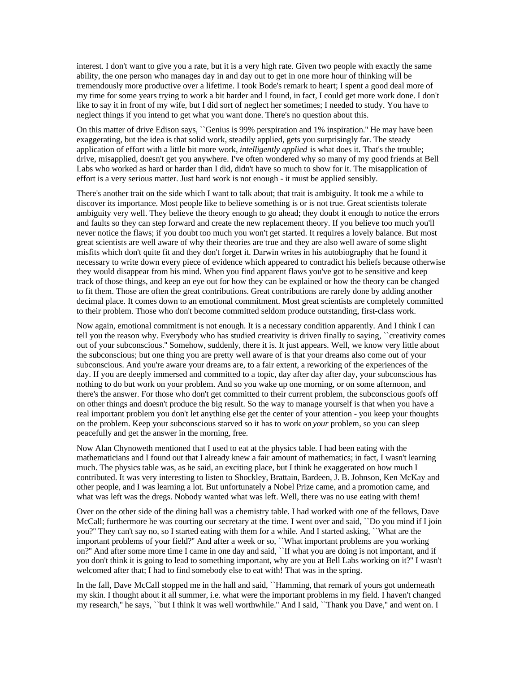interest. I don't want to give you a rate, but it is a very high rate. Given two people with exactly the same ability, the one person who manages day in and day out to get in one more hour of thinking will be tremendously more productive over a lifetime. I took Bode's remark to heart; I spent a good deal more of my time for some years trying to work a bit harder and I found, in fact, I could get more work done. I don't like to say it in front of my wife, but I did sort of neglect her sometimes; I needed to study. You have to neglect things if you intend to get what you want done. There's no question about this.

On this matter of drive Edison says, ``Genius is 99% perspiration and 1% inspiration.'' He may have been exaggerating, but the idea is that solid work, steadily applied, gets you surprisingly far. The steady application of effort with a little bit more work, *intelligently applied* is what does it. That's the trouble; drive, misapplied, doesn't get you anywhere. I've often wondered why so many of my good friends at Bell Labs who worked as hard or harder than I did, didn't have so much to show for it. The misapplication of effort is a very serious matter. Just hard work is not enough - it must be applied sensibly.

There's another trait on the side which I want to talk about; that trait is ambiguity. It took me a while to discover its importance. Most people like to believe something is or is not true. Great scientists tolerate ambiguity very well. They believe the theory enough to go ahead; they doubt it enough to notice the errors and faults so they can step forward and create the new replacement theory. If you believe too much you'll never notice the flaws; if you doubt too much you won't get started. It requires a lovely balance. But most great scientists are well aware of why their theories are true and they are also well aware of some slight misfits which don't quite fit and they don't forget it. Darwin writes in his autobiography that he found it necessary to write down every piece of evidence which appeared to contradict his beliefs because otherwise they would disappear from his mind. When you find apparent flaws you've got to be sensitive and keep track of those things, and keep an eye out for how they can be explained or how the theory can be changed to fit them. Those are often the great contributions. Great contributions are rarely done by adding another decimal place. It comes down to an emotional commitment. Most great scientists are completely committed to their problem. Those who don't become committed seldom produce outstanding, first-class work.

Now again, emotional commitment is not enough. It is a necessary condition apparently. And I think I can tell you the reason why. Everybody who has studied creativity is driven finally to saying, ``creativity comes out of your subconscious.'' Somehow, suddenly, there it is. It just appears. Well, we know very little about the subconscious; but one thing you are pretty well aware of is that your dreams also come out of your subconscious. And you're aware your dreams are, to a fair extent, a reworking of the experiences of the day. If you are deeply immersed and committed to a topic, day after day after day, your subconscious has nothing to do but work on your problem. And so you wake up one morning, or on some afternoon, and there's the answer. For those who don't get committed to their current problem, the subconscious goofs off on other things and doesn't produce the big result. So the way to manage yourself is that when you have a real important problem you don't let anything else get the center of your attention - you keep your thoughts on the problem. Keep your subconscious starved so it has to work on *your* problem, so you can sleep peacefully and get the answer in the morning, free.

Now Alan Chynoweth mentioned that I used to eat at the physics table. I had been eating with the mathematicians and I found out that I already knew a fair amount of mathematics; in fact, I wasn't learning much. The physics table was, as he said, an exciting place, but I think he exaggerated on how much I contributed. It was very interesting to listen to Shockley, Brattain, Bardeen, J. B. Johnson, Ken McKay and other people, and I was learning a lot. But unfortunately a Nobel Prize came, and a promotion came, and what was left was the dregs. Nobody wanted what was left. Well, there was no use eating with them!

Over on the other side of the dining hall was a chemistry table. I had worked with one of the fellows, Dave McCall; furthermore he was courting our secretary at the time. I went over and said, ``Do you mind if I join you?'' They can't say no, so I started eating with them for a while. And I started asking, ``What are the important problems of your field?'' And after a week or so, ``What important problems are you working on?'' And after some more time I came in one day and said, ``If what you are doing is not important, and if you don't think it is going to lead to something important, why are you at Bell Labs working on it?'' I wasn't welcomed after that; I had to find somebody else to eat with! That was in the spring.

In the fall, Dave McCall stopped me in the hall and said, ``Hamming, that remark of yours got underneath my skin. I thought about it all summer, i.e. what were the important problems in my field. I haven't changed my research,'' he says, ``but I think it was well worthwhile.'' And I said, ``Thank you Dave,'' and went on. I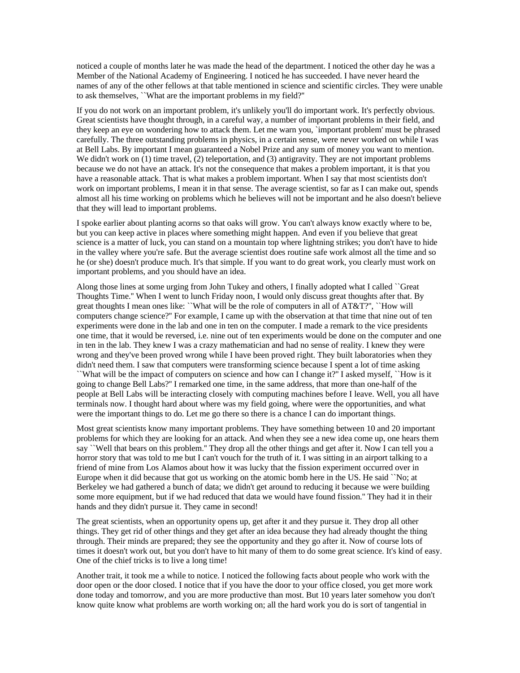noticed a couple of months later he was made the head of the department. I noticed the other day he was a Member of the National Academy of Engineering. I noticed he has succeeded. I have never heard the names of any of the other fellows at that table mentioned in science and scientific circles. They were unable to ask themselves, ``What are the important problems in my field?''

If you do not work on an important problem, it's unlikely you'll do important work. It's perfectly obvious. Great scientists have thought through, in a careful way, a number of important problems in their field, and they keep an eye on wondering how to attack them. Let me warn you, `important problem' must be phrased carefully. The three outstanding problems in physics, in a certain sense, were never worked on while I was at Bell Labs. By important I mean guaranteed a Nobel Prize and any sum of money you want to mention. We didn't work on (1) time travel, (2) teleportation, and (3) antigravity. They are not important problems because we do not have an attack. It's not the consequence that makes a problem important, it is that you have a reasonable attack. That is what makes a problem important. When I say that most scientists don't work on important problems, I mean it in that sense. The average scientist, so far as I can make out, spends almost all his time working on problems which he believes will not be important and he also doesn't believe that they will lead to important problems.

I spoke earlier about planting acorns so that oaks will grow. You can't always know exactly where to be, but you can keep active in places where something might happen. And even if you believe that great science is a matter of luck, you can stand on a mountain top where lightning strikes; you don't have to hide in the valley where you're safe. But the average scientist does routine safe work almost all the time and so he (or she) doesn't produce much. It's that simple. If you want to do great work, you clearly must work on important problems, and you should have an idea.

Along those lines at some urging from John Tukey and others, I finally adopted what I called ``Great Thoughts Time.'' When I went to lunch Friday noon, I would only discuss great thoughts after that. By great thoughts I mean ones like: ``What will be the role of computers in all of AT&T?'', ``How will computers change science?'' For example, I came up with the observation at that time that nine out of ten experiments were done in the lab and one in ten on the computer. I made a remark to the vice presidents one time, that it would be reversed, i.e. nine out of ten experiments would be done on the computer and one in ten in the lab. They knew I was a crazy mathematician and had no sense of reality. I knew they were wrong and they've been proved wrong while I have been proved right. They built laboratories when they didn't need them. I saw that computers were transforming science because I spent a lot of time asking ``What will be the impact of computers on science and how can I change it?'' I asked myself, ``How is it going to change Bell Labs?'' I remarked one time, in the same address, that more than one-half of the people at Bell Labs will be interacting closely with computing machines before I leave. Well, you all have terminals now. I thought hard about where was my field going, where were the opportunities, and what were the important things to do. Let me go there so there is a chance I can do important things.

Most great scientists know many important problems. They have something between 10 and 20 important problems for which they are looking for an attack. And when they see a new idea come up, one hears them say ``Well that bears on this problem." They drop all the other things and get after it. Now I can tell you a horror story that was told to me but I can't vouch for the truth of it. I was sitting in an airport talking to a friend of mine from Los Alamos about how it was lucky that the fission experiment occurred over in Europe when it did because that got us working on the atomic bomb here in the US. He said ``No; at Berkeley we had gathered a bunch of data; we didn't get around to reducing it because we were building some more equipment, but if we had reduced that data we would have found fission.'' They had it in their hands and they didn't pursue it. They came in second!

The great scientists, when an opportunity opens up, get after it and they pursue it. They drop all other things. They get rid of other things and they get after an idea because they had already thought the thing through. Their minds are prepared; they see the opportunity and they go after it. Now of course lots of times it doesn't work out, but you don't have to hit many of them to do some great science. It's kind of easy. One of the chief tricks is to live a long time!

Another trait, it took me a while to notice. I noticed the following facts about people who work with the door open or the door closed. I notice that if you have the door to your office closed, you get more work done today and tomorrow, and you are more productive than most. But 10 years later somehow you don't know quite know what problems are worth working on; all the hard work you do is sort of tangential in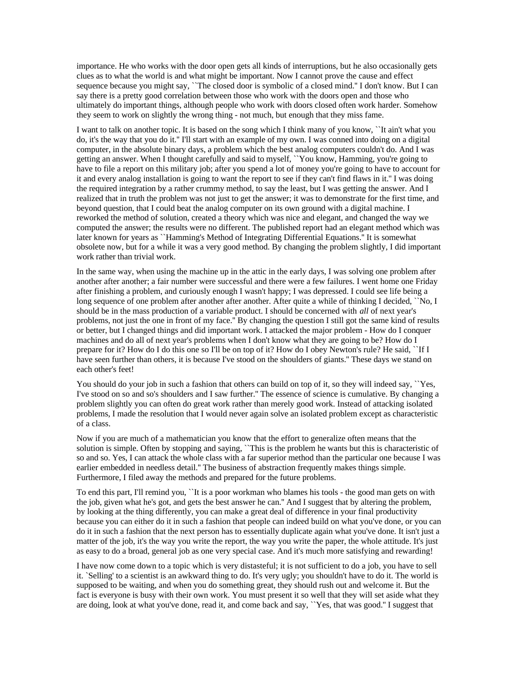importance. He who works with the door open gets all kinds of interruptions, but he also occasionally gets clues as to what the world is and what might be important. Now I cannot prove the cause and effect sequence because you might say, ``The closed door is symbolic of a closed mind.'' I don't know. But I can say there is a pretty good correlation between those who work with the doors open and those who ultimately do important things, although people who work with doors closed often work harder. Somehow they seem to work on slightly the wrong thing - not much, but enough that they miss fame.

I want to talk on another topic. It is based on the song which I think many of you know, ``It ain't what you do, it's the way that you do it.'' I'll start with an example of my own. I was conned into doing on a digital computer, in the absolute binary days, a problem which the best analog computers couldn't do. And I was getting an answer. When I thought carefully and said to myself, ``You know, Hamming, you're going to have to file a report on this military job; after you spend a lot of money you're going to have to account for it and every analog installation is going to want the report to see if they can't find flaws in it.'' I was doing the required integration by a rather crummy method, to say the least, but I was getting the answer. And I realized that in truth the problem was not just to get the answer; it was to demonstrate for the first time, and beyond question, that I could beat the analog computer on its own ground with a digital machine. I reworked the method of solution, created a theory which was nice and elegant, and changed the way we computed the answer; the results were no different. The published report had an elegant method which was later known for years as ``Hamming's Method of Integrating Differential Equations.'' It is somewhat obsolete now, but for a while it was a very good method. By changing the problem slightly, I did important work rather than trivial work.

In the same way, when using the machine up in the attic in the early days, I was solving one problem after another after another; a fair number were successful and there were a few failures. I went home one Friday after finishing a problem, and curiously enough I wasn't happy; I was depressed. I could see life being a long sequence of one problem after another after another. After quite a while of thinking I decided, ``No, I should be in the mass production of a variable product. I should be concerned with *all* of next year's problems, not just the one in front of my face.'' By changing the question I still got the same kind of results or better, but I changed things and did important work. I attacked the major problem - How do I conquer machines and do all of next year's problems when I don't know what they are going to be? How do I prepare for it? How do I do this one so I'll be on top of it? How do I obey Newton's rule? He said, ``If I have seen further than others, it is because I've stood on the shoulders of giants." These days we stand on each other's feet!

You should do your job in such a fashion that others can build on top of it, so they will indeed say, "Yes, I've stood on so and so's shoulders and I saw further.'' The essence of science is cumulative. By changing a problem slightly you can often do great work rather than merely good work. Instead of attacking isolated problems, I made the resolution that I would never again solve an isolated problem except as characteristic of a class.

Now if you are much of a mathematician you know that the effort to generalize often means that the solution is simple. Often by stopping and saying, ``This is the problem he wants but this is characteristic of so and so. Yes, I can attack the whole class with a far superior method than the particular one because I was earlier embedded in needless detail.'' The business of abstraction frequently makes things simple. Furthermore, I filed away the methods and prepared for the future problems.

To end this part, I'll remind you, ``It is a poor workman who blames his tools - the good man gets on with the job, given what he's got, and gets the best answer he can.'' And I suggest that by altering the problem, by looking at the thing differently, you can make a great deal of difference in your final productivity because you can either do it in such a fashion that people can indeed build on what you've done, or you can do it in such a fashion that the next person has to essentially duplicate again what you've done. It isn't just a matter of the job, it's the way you write the report, the way you write the paper, the whole attitude. It's just as easy to do a broad, general job as one very special case. And it's much more satisfying and rewarding!

I have now come down to a topic which is very distasteful; it is not sufficient to do a job, you have to sell it. `Selling' to a scientist is an awkward thing to do. It's very ugly; you shouldn't have to do it. The world is supposed to be waiting, and when you do something great, they should rush out and welcome it. But the fact is everyone is busy with their own work. You must present it so well that they will set aside what they are doing, look at what you've done, read it, and come back and say, ``Yes, that was good.'' I suggest that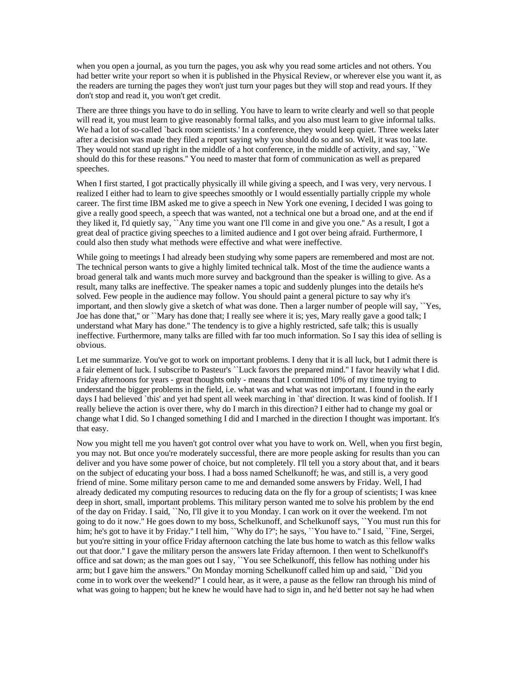when you open a journal, as you turn the pages, you ask why you read some articles and not others. You had better write your report so when it is published in the Physical Review, or wherever else you want it, as the readers are turning the pages they won't just turn your pages but they will stop and read yours. If they don't stop and read it, you won't get credit.

There are three things you have to do in selling. You have to learn to write clearly and well so that people will read it, you must learn to give reasonably formal talks, and you also must learn to give informal talks. We had a lot of so-called `back room scientists.' In a conference, they would keep quiet. Three weeks later after a decision was made they filed a report saying why you should do so and so. Well, it was too late. They would not stand up right in the middle of a hot conference, in the middle of activity, and say, ``We should do this for these reasons.'' You need to master that form of communication as well as prepared speeches.

When I first started, I got practically physically ill while giving a speech, and I was very, very nervous. I realized I either had to learn to give speeches smoothly or I would essentially partially cripple my whole career. The first time IBM asked me to give a speech in New York one evening, I decided I was going to give a really good speech, a speech that was wanted, not a technical one but a broad one, and at the end if they liked it, I'd quietly say, ``Any time you want one I'll come in and give you one.'' As a result, I got a great deal of practice giving speeches to a limited audience and I got over being afraid. Furthermore, I could also then study what methods were effective and what were ineffective.

While going to meetings I had already been studying why some papers are remembered and most are not. The technical person wants to give a highly limited technical talk. Most of the time the audience wants a broad general talk and wants much more survey and background than the speaker is willing to give. As a result, many talks are ineffective. The speaker names a topic and suddenly plunges into the details he's solved. Few people in the audience may follow. You should paint a general picture to say why it's important, and then slowly give a sketch of what was done. Then a larger number of people will say, ``Yes, Joe has done that,'' or ``Mary has done that; I really see where it is; yes, Mary really gave a good talk; I understand what Mary has done.'' The tendency is to give a highly restricted, safe talk; this is usually ineffective. Furthermore, many talks are filled with far too much information. So I say this idea of selling is obvious.

Let me summarize. You've got to work on important problems. I deny that it is all luck, but I admit there is a fair element of luck. I subscribe to Pasteur's ``Luck favors the prepared mind.'' I favor heavily what I did. Friday afternoons for years - great thoughts only - means that I committed 10% of my time trying to understand the bigger problems in the field, i.e. what was and what was not important. I found in the early days I had believed `this' and yet had spent all week marching in `that' direction. It was kind of foolish. If I really believe the action is over there, why do I march in this direction? I either had to change my goal or change what I did. So I changed something I did and I marched in the direction I thought was important. It's that easy.

Now you might tell me you haven't got control over what you have to work on. Well, when you first begin, you may not. But once you're moderately successful, there are more people asking for results than you can deliver and you have some power of choice, but not completely. I'll tell you a story about that, and it bears on the subject of educating your boss. I had a boss named Schelkunoff; he was, and still is, a very good friend of mine. Some military person came to me and demanded some answers by Friday. Well, I had already dedicated my computing resources to reducing data on the fly for a group of scientists; I was knee deep in short, small, important problems. This military person wanted me to solve his problem by the end of the day on Friday. I said, ``No, I'll give it to you Monday. I can work on it over the weekend. I'm not going to do it now.'' He goes down to my boss, Schelkunoff, and Schelkunoff says, ``You must run this for him; he's got to have it by Friday." I tell him, ``Why do I?"; he says, ``You have to." I said, ``Fine, Sergei, but you're sitting in your office Friday afternoon catching the late bus home to watch as this fellow walks out that door.'' I gave the military person the answers late Friday afternoon. I then went to Schelkunoff's office and sat down; as the man goes out I say, ``You see Schelkunoff, this fellow has nothing under his arm; but I gave him the answers.'' On Monday morning Schelkunoff called him up and said, ``Did you come in to work over the weekend?'' I could hear, as it were, a pause as the fellow ran through his mind of what was going to happen; but he knew he would have had to sign in, and he'd better not say he had when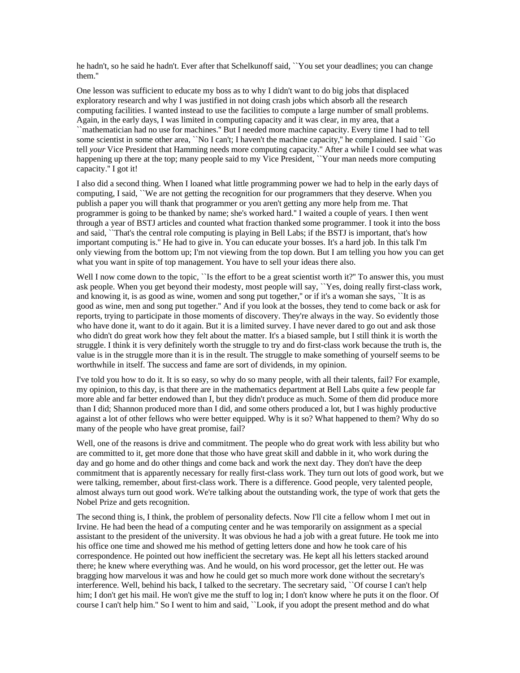he hadn't, so he said he hadn't. Ever after that Schelkunoff said, ``You set your deadlines; you can change them.''

One lesson was sufficient to educate my boss as to why I didn't want to do big jobs that displaced exploratory research and why I was justified in not doing crash jobs which absorb all the research computing facilities. I wanted instead to use the facilities to compute a large number of small problems. Again, in the early days, I was limited in computing capacity and it was clear, in my area, that a ``mathematician had no use for machines.'' But I needed more machine capacity. Every time I had to tell some scientist in some other area, ``No I can't; I haven't the machine capacity," he complained. I said ``Go tell *your* Vice President that Hamming needs more computing capacity.'' After a while I could see what was happening up there at the top; many people said to my Vice President, ``Your man needs more computing capacity.'' I got it!

I also did a second thing. When I loaned what little programming power we had to help in the early days of computing, I said, ``We are not getting the recognition for our programmers that they deserve. When you publish a paper you will thank that programmer or you aren't getting any more help from me. That programmer is going to be thanked by name; she's worked hard.'' I waited a couple of years. I then went through a year of BSTJ articles and counted what fraction thanked some programmer. I took it into the boss and said, ``That's the central role computing is playing in Bell Labs; if the BSTJ is important, that's how important computing is.'' He had to give in. You can educate your bosses. It's a hard job. In this talk I'm only viewing from the bottom up; I'm not viewing from the top down. But I am telling you how you can get what you want in spite of top management. You have to sell your ideas there also.

Well I now come down to the topic, "Is the effort to be a great scientist worth it?" To answer this, you must ask people. When you get beyond their modesty, most people will say, ``Yes, doing really first-class work, and knowing it, is as good as wine, women and song put together,'' or if it's a woman she says, ``It is as good as wine, men and song put together.'' And if you look at the bosses, they tend to come back or ask for reports, trying to participate in those moments of discovery. They're always in the way. So evidently those who have done it, want to do it again. But it is a limited survey. I have never dared to go out and ask those who didn't do great work how they felt about the matter. It's a biased sample, but I still think it is worth the struggle. I think it is very definitely worth the struggle to try and do first-class work because the truth is, the value is in the struggle more than it is in the result. The struggle to make something of yourself seems to be worthwhile in itself. The success and fame are sort of dividends, in my opinion.

I've told you how to do it. It is so easy, so why do so many people, with all their talents, fail? For example, my opinion, to this day, is that there are in the mathematics department at Bell Labs quite a few people far more able and far better endowed than I, but they didn't produce as much. Some of them did produce more than I did; Shannon produced more than I did, and some others produced a lot, but I was highly productive against a lot of other fellows who were better equipped. Why is it so? What happened to them? Why do so many of the people who have great promise, fail?

Well, one of the reasons is drive and commitment. The people who do great work with less ability but who are committed to it, get more done that those who have great skill and dabble in it, who work during the day and go home and do other things and come back and work the next day. They don't have the deep commitment that is apparently necessary for really first-class work. They turn out lots of good work, but we were talking, remember, about first-class work. There is a difference. Good people, very talented people, almost always turn out good work. We're talking about the outstanding work, the type of work that gets the Nobel Prize and gets recognition.

The second thing is, I think, the problem of personality defects. Now I'll cite a fellow whom I met out in Irvine. He had been the head of a computing center and he was temporarily on assignment as a special assistant to the president of the university. It was obvious he had a job with a great future. He took me into his office one time and showed me his method of getting letters done and how he took care of his correspondence. He pointed out how inefficient the secretary was. He kept all his letters stacked around there; he knew where everything was. And he would, on his word processor, get the letter out. He was bragging how marvelous it was and how he could get so much more work done without the secretary's interference. Well, behind his back, I talked to the secretary. The secretary said, ``Of course I can't help him; I don't get his mail. He won't give me the stuff to log in; I don't know where he puts it on the floor. Of course I can't help him.'' So I went to him and said, ``Look, if you adopt the present method and do what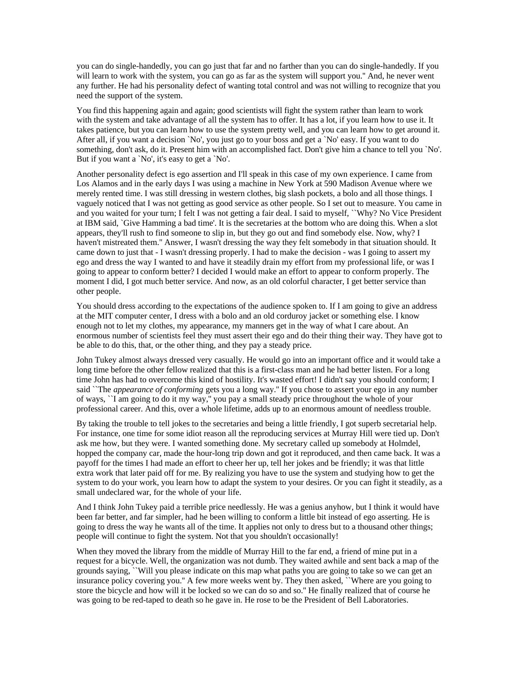you can do single-handedly, you can go just that far and no farther than you can do single-handedly. If you will learn to work with the system, you can go as far as the system will support you." And, he never went any further. He had his personality defect of wanting total control and was not willing to recognize that you need the support of the system.

You find this happening again and again; good scientists will fight the system rather than learn to work with the system and take advantage of all the system has to offer. It has a lot, if you learn how to use it. It takes patience, but you can learn how to use the system pretty well, and you can learn how to get around it. After all, if you want a decision `No', you just go to your boss and get a `No' easy. If you want to do something, don't ask, do it. Present him with an accomplished fact. Don't give him a chance to tell you `No'. But if you want a `No', it's easy to get a `No'.

Another personality defect is ego assertion and I'll speak in this case of my own experience. I came from Los Alamos and in the early days I was using a machine in New York at 590 Madison Avenue where we merely rented time. I was still dressing in western clothes, big slash pockets, a bolo and all those things. I vaguely noticed that I was not getting as good service as other people. So I set out to measure. You came in and you waited for your turn; I felt I was not getting a fair deal. I said to myself, ``Why? No Vice President at IBM said, `Give Hamming a bad time'. It is the secretaries at the bottom who are doing this. When a slot appears, they'll rush to find someone to slip in, but they go out and find somebody else. Now, why? I haven't mistreated them.'' Answer, I wasn't dressing the way they felt somebody in that situation should. It came down to just that - I wasn't dressing properly. I had to make the decision - was I going to assert my ego and dress the way I wanted to and have it steadily drain my effort from my professional life, or was I going to appear to conform better? I decided I would make an effort to appear to conform properly. The moment I did, I got much better service. And now, as an old colorful character, I get better service than other people.

You should dress according to the expectations of the audience spoken to. If I am going to give an address at the MIT computer center, I dress with a bolo and an old corduroy jacket or something else. I know enough not to let my clothes, my appearance, my manners get in the way of what I care about. An enormous number of scientists feel they must assert their ego and do their thing their way. They have got to be able to do this, that, or the other thing, and they pay a steady price.

John Tukey almost always dressed very casually. He would go into an important office and it would take a long time before the other fellow realized that this is a first-class man and he had better listen. For a long time John has had to overcome this kind of hostility. It's wasted effort! I didn't say you should conform; I said ``The *appearance of conforming* gets you a long way.'' If you chose to assert your ego in any number of ways, ``I am going to do it my way,'' you pay a small steady price throughout the whole of your professional career. And this, over a whole lifetime, adds up to an enormous amount of needless trouble.

By taking the trouble to tell jokes to the secretaries and being a little friendly, I got superb secretarial help. For instance, one time for some idiot reason all the reproducing services at Murray Hill were tied up. Don't ask me how, but they were. I wanted something done. My secretary called up somebody at Holmdel, hopped the company car, made the hour-long trip down and got it reproduced, and then came back. It was a payoff for the times I had made an effort to cheer her up, tell her jokes and be friendly; it was that little extra work that later paid off for me. By realizing you have to use the system and studying how to get the system to do your work, you learn how to adapt the system to your desires. Or you can fight it steadily, as a small undeclared war, for the whole of your life.

And I think John Tukey paid a terrible price needlessly. He was a genius anyhow, but I think it would have been far better, and far simpler, had he been willing to conform a little bit instead of ego asserting. He is going to dress the way he wants all of the time. It applies not only to dress but to a thousand other things; people will continue to fight the system. Not that you shouldn't occasionally!

When they moved the library from the middle of Murray Hill to the far end, a friend of mine put in a request for a bicycle. Well, the organization was not dumb. They waited awhile and sent back a map of the grounds saying, ``Will you please indicate on this map what paths you are going to take so we can get an insurance policy covering you.'' A few more weeks went by. They then asked, ``Where are you going to store the bicycle and how will it be locked so we can do so and so.'' He finally realized that of course he was going to be red-taped to death so he gave in. He rose to be the President of Bell Laboratories.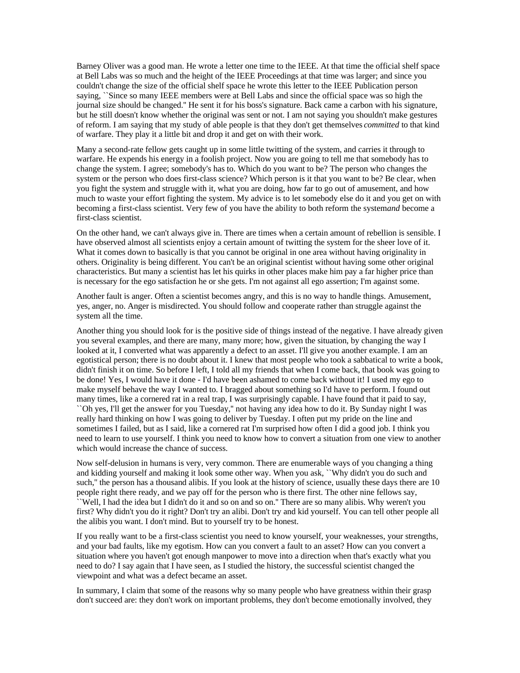Barney Oliver was a good man. He wrote a letter one time to the IEEE. At that time the official shelf space at Bell Labs was so much and the height of the IEEE Proceedings at that time was larger; and since you couldn't change the size of the official shelf space he wrote this letter to the IEEE Publication person saying, ``Since so many IEEE members were at Bell Labs and since the official space was so high the journal size should be changed.'' He sent it for his boss's signature. Back came a carbon with his signature, but he still doesn't know whether the original was sent or not. I am not saying you shouldn't make gestures of reform. I am saying that my study of able people is that they don't get themselves *committed* to that kind of warfare. They play it a little bit and drop it and get on with their work.

Many a second-rate fellow gets caught up in some little twitting of the system, and carries it through to warfare. He expends his energy in a foolish project. Now you are going to tell me that somebody has to change the system. I agree; somebody's has to. Which do you want to be? The person who changes the system or the person who does first-class science? Which person is it that you want to be? Be clear, when you fight the system and struggle with it, what you are doing, how far to go out of amusement, and how much to waste your effort fighting the system. My advice is to let somebody else do it and you get on with becoming a first-class scientist. Very few of you have the ability to both reform the system *and* become a first-class scientist.

On the other hand, we can't always give in. There are times when a certain amount of rebellion is sensible. I have observed almost all scientists enjoy a certain amount of twitting the system for the sheer love of it. What it comes down to basically is that you cannot be original in one area without having originality in others. Originality is being different. You can't be an original scientist without having some other original characteristics. But many a scientist has let his quirks in other places make him pay a far higher price than is necessary for the ego satisfaction he or she gets. I'm not against all ego assertion; I'm against some.

Another fault is anger. Often a scientist becomes angry, and this is no way to handle things. Amusement, yes, anger, no. Anger is misdirected. You should follow and cooperate rather than struggle against the system all the time.

Another thing you should look for is the positive side of things instead of the negative. I have already given you several examples, and there are many, many more; how, given the situation, by changing the way I looked at it, I converted what was apparently a defect to an asset. I'll give you another example. I am an egotistical person; there is no doubt about it. I knew that most people who took a sabbatical to write a book, didn't finish it on time. So before I left, I told all my friends that when I come back, that book was going to be done! Yes, I would have it done - I'd have been ashamed to come back without it! I used my ego to make myself behave the way I wanted to. I bragged about something so I'd have to perform. I found out many times, like a cornered rat in a real trap, I was surprisingly capable. I have found that it paid to say, ``Oh yes, I'll get the answer for you Tuesday,'' not having any idea how to do it. By Sunday night I was really hard thinking on how I was going to deliver by Tuesday. I often put my pride on the line and sometimes I failed, but as I said, like a cornered rat I'm surprised how often I did a good job. I think you need to learn to use yourself. I think you need to know how to convert a situation from one view to another which would increase the chance of success.

Now self-delusion in humans is very, very common. There are enumerable ways of you changing a thing and kidding yourself and making it look some other way. When you ask, ``Why didn't you do such and such," the person has a thousand alibis. If you look at the history of science, usually these days there are 10 people right there ready, and we pay off for the person who is there first. The other nine fellows say, ``Well, I had the idea but I didn't do it and so on and so on.'' There are so many alibis. Why weren't you first? Why didn't you do it right? Don't try an alibi. Don't try and kid yourself. You can tell other people all the alibis you want. I don't mind. But to yourself try to be honest.

If you really want to be a first-class scientist you need to know yourself, your weaknesses, your strengths, and your bad faults, like my egotism. How can you convert a fault to an asset? How can you convert a situation where you haven't got enough manpower to move into a direction when that's exactly what you need to do? I say again that I have seen, as I studied the history, the successful scientist changed the viewpoint and what was a defect became an asset.

In summary, I claim that some of the reasons why so many people who have greatness within their grasp don't succeed are: they don't work on important problems, they don't become emotionally involved, they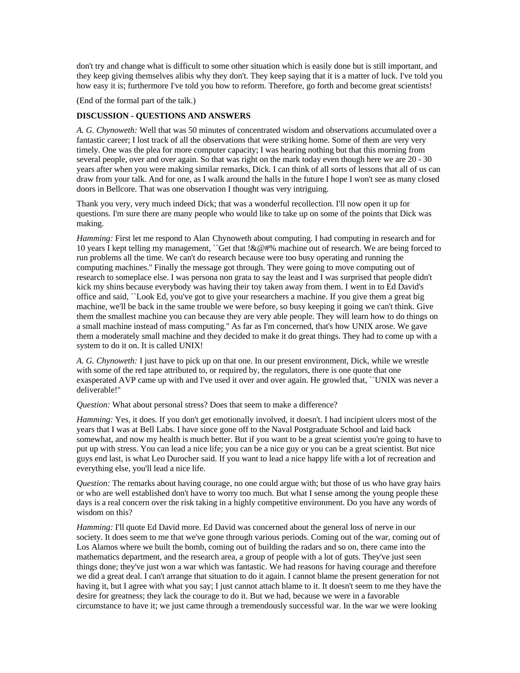don't try and change what is difficult to some other situation which is easily done but is still important, and they keep giving themselves alibis why they don't. They keep saying that it is a matter of luck. I've told you how easy it is; furthermore I've told you how to reform. Therefore, go forth and become great scientists!

(End of the formal part of the talk.)

### **DISCUSSION - QUESTIONS AND ANSWERS**

*A. G. Chynoweth:* Well that was 50 minutes of concentrated wisdom and observations accumulated over a fantastic career; I lost track of all the observations that were striking home. Some of them are very very timely. One was the plea for more computer capacity; I was hearing nothing but that this morning from several people, over and over again. So that was right on the mark today even though here we are 20 - 30 years after when you were making similar remarks, Dick. I can think of all sorts of lessons that all of us can draw from your talk. And for one, as I walk around the halls in the future I hope I won't see as many closed doors in Bellcore. That was one observation I thought was very intriguing.

Thank you very, very much indeed Dick; that was a wonderful recollection. I'll now open it up for questions. I'm sure there are many people who would like to take up on some of the points that Dick was making.

*Hamming:* First let me respond to Alan Chynoweth about computing. I had computing in research and for 10 years I kept telling my management, ``Get that !&@#% machine out of research. We are being forced to run problems all the time. We can't do research because were too busy operating and running the computing machines.'' Finally the message got through. They were going to move computing out of research to someplace else. I was persona non grata to say the least and I was surprised that people didn't kick my shins because everybody was having their toy taken away from them. I went in to Ed David's office and said, ``Look Ed, you've got to give your researchers a machine. If you give them a great big machine, we'll be back in the same trouble we were before, so busy keeping it going we can't think. Give them the smallest machine you can because they are very able people. They will learn how to do things on a small machine instead of mass computing.'' As far as I'm concerned, that's how UNIX arose. We gave them a moderately small machine and they decided to make it do great things. They had to come up with a system to do it on. It is called UNIX!

*A. G. Chynoweth:* I just have to pick up on that one. In our present environment, Dick, while we wrestle with some of the red tape attributed to, or required by, the regulators, there is one quote that one exasperated AVP came up with and I've used it over and over again. He growled that, ``UNIX was never a deliverable!''

*Question:* What about personal stress? Does that seem to make a difference?

*Hamming:* Yes, it does. If you don't get emotionally involved, it doesn't. I had incipient ulcers most of the years that I was at Bell Labs. I have since gone off to the Naval Postgraduate School and laid back somewhat, and now my health is much better. But if you want to be a great scientist you're going to have to put up with stress. You can lead a nice life; you can be a nice guy or you can be a great scientist. But nice guys end last, is what Leo Durocher said. If you want to lead a nice happy life with a lot of recreation and everything else, you'll lead a nice life.

*Question:* The remarks about having courage, no one could argue with; but those of us who have gray hairs or who are well established don't have to worry too much. But what I sense among the young people these days is a real concern over the risk taking in a highly competitive environment. Do you have any words of wisdom on this?

*Hamming:* I'll quote Ed David more. Ed David was concerned about the general loss of nerve in our society. It does seem to me that we've gone through various periods. Coming out of the war, coming out of Los Alamos where we built the bomb, coming out of building the radars and so on, there came into the mathematics department, and the research area, a group of people with a lot of guts. They've just seen things done; they've just won a war which was fantastic. We had reasons for having courage and therefore we did a great deal. I can't arrange that situation to do it again. I cannot blame the present generation for not having it, but I agree with what you say; I just cannot attach blame to it. It doesn't seem to me they have the desire for greatness; they lack the courage to do it. But we had, because we were in a favorable circumstance to have it; we just came through a tremendously successful war. In the war we were looking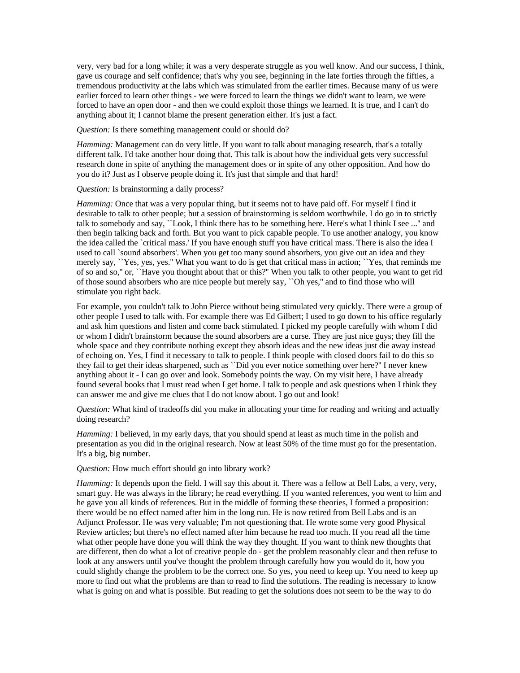very, very bad for a long while; it was a very desperate struggle as you well know. And our success, I think, gave us courage and self confidence; that's why you see, beginning in the late forties through the fifties, a tremendous productivity at the labs which was stimulated from the earlier times. Because many of us were earlier forced to learn other things - we were forced to learn the things we didn't want to learn, we were forced to have an open door - and then we could exploit those things we learned. It is true, and I can't do anything about it; I cannot blame the present generation either. It's just a fact.

*Question:* Is there something management could or should do?

*Hamming:* Management can do very little. If you want to talk about managing research, that's a totally different talk. I'd take another hour doing that. This talk is about how the individual gets very successful research done in spite of anything the management does or in spite of any other opposition. And how do you do it? Just as I observe people doing it. It's just that simple and that hard!

#### *Question:* Is brainstorming a daily process?

*Hamming:* Once that was a very popular thing, but it seems not to have paid off. For myself I find it desirable to talk to other people; but a session of brainstorming is seldom worthwhile. I do go in to strictly talk to somebody and say, ``Look, I think there has to be something here. Here's what I think I see ...'' and then begin talking back and forth. But you want to pick capable people. To use another analogy, you know the idea called the `critical mass.' If you have enough stuff you have critical mass. There is also the idea I used to call `sound absorbers'. When you get too many sound absorbers, you give out an idea and they merely say, ``Yes, yes, yes.'' What you want to do is get that critical mass in action; ``Yes, that reminds me of so and so,'' or, ``Have you thought about that or this?'' When you talk to other people, you want to get rid of those sound absorbers who are nice people but merely say, ``Oh yes,'' and to find those who will stimulate you right back.

For example, you couldn't talk to John Pierce without being stimulated very quickly. There were a group of other people I used to talk with. For example there was Ed Gilbert; I used to go down to his office regularly and ask him questions and listen and come back stimulated. I picked my people carefully with whom I did or whom I didn't brainstorm because the sound absorbers are a curse. They are just nice guys; they fill the whole space and they contribute nothing except they absorb ideas and the new ideas just die away instead of echoing on. Yes, I find it necessary to talk to people. I think people with closed doors fail to do this so they fail to get their ideas sharpened, such as ``Did you ever notice something over here?'' I never knew anything about it - I can go over and look. Somebody points the way. On my visit here, I have already found several books that I must read when I get home. I talk to people and ask questions when I think they can answer me and give me clues that I do not know about. I go out and look!

*Question:* What kind of tradeoffs did you make in allocating your time for reading and writing and actually doing research?

*Hamming:* I believed, in my early days, that you should spend at least as much time in the polish and presentation as you did in the original research. Now at least 50% of the time must go for the presentation. It's a big, big number.

*Question:* How much effort should go into library work?

*Hamming:* It depends upon the field. I will say this about it. There was a fellow at Bell Labs, a very, very, smart guy. He was always in the library; he read everything. If you wanted references, you went to him and he gave you all kinds of references. But in the middle of forming these theories, I formed a proposition: there would be no effect named after him in the long run. He is now retired from Bell Labs and is an Adjunct Professor. He was very valuable; I'm not questioning that. He wrote some very good Physical Review articles; but there's no effect named after him because he read too much. If you read all the time what other people have done you will think the way they thought. If you want to think new thoughts that are different, then do what a lot of creative people do - get the problem reasonably clear and then refuse to look at any answers until you've thought the problem through carefully how you would do it, how you could slightly change the problem to be the correct one. So yes, you need to keep up. You need to keep up more to find out what the problems are than to read to find the solutions. The reading is necessary to know what is going on and what is possible. But reading to get the solutions does not seem to be the way to do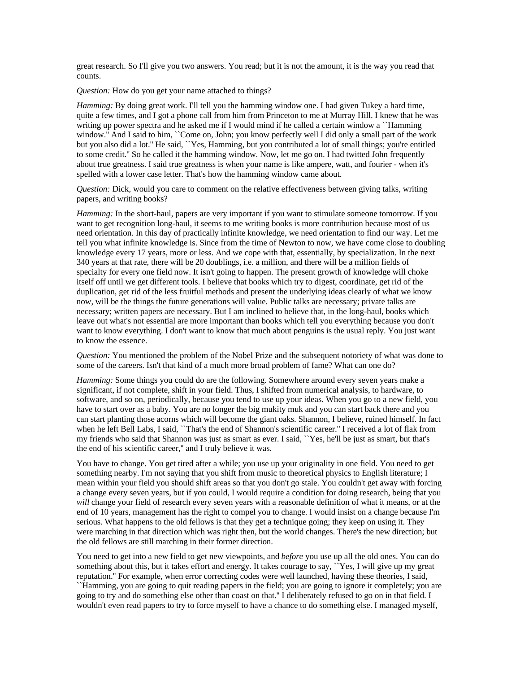great research. So I'll give you two answers. You read; but it is not the amount, it is the way you read that counts.

*Question:* How do you get your name attached to things?

*Hamming:* By doing great work. I'll tell you the hamming window one. I had given Tukey a hard time, quite a few times, and I got a phone call from him from Princeton to me at Murray Hill. I knew that he was writing up power spectra and he asked me if I would mind if he called a certain window a ``Hamming window." And I said to him, "Come on, John; you know perfectly well I did only a small part of the work but you also did a lot.'' He said, ``Yes, Hamming, but you contributed a lot of small things; you're entitled to some credit.'' So he called it the hamming window. Now, let me go on. I had twitted John frequently about true greatness. I said true greatness is when your name is like ampere, watt, and fourier - when it's spelled with a lower case letter. That's how the hamming window came about.

*Question:* Dick, would you care to comment on the relative effectiveness between giving talks, writing papers, and writing books?

*Hamming:* In the short-haul, papers are very important if you want to stimulate someone tomorrow. If you want to get recognition long-haul, it seems to me writing books is more contribution because most of us need orientation. In this day of practically infinite knowledge, we need orientation to find our way. Let me tell you what infinite knowledge is. Since from the time of Newton to now, we have come close to doubling knowledge every 17 years, more or less. And we cope with that, essentially, by specialization. In the next 340 years at that rate, there will be 20 doublings, i.e. a million, and there will be a million fields of specialty for every one field now. It isn't going to happen. The present growth of knowledge will choke itself off until we get different tools. I believe that books which try to digest, coordinate, get rid of the duplication, get rid of the less fruitful methods and present the underlying ideas clearly of what we know now, will be the things the future generations will value. Public talks are necessary; private talks are necessary; written papers are necessary. But I am inclined to believe that, in the long-haul, books which leave out what's not essential are more important than books which tell you everything because you don't want to know everything. I don't want to know that much about penguins is the usual reply. You just want to know the essence.

*Question:* You mentioned the problem of the Nobel Prize and the subsequent notoriety of what was done to some of the careers. Isn't that kind of a much more broad problem of fame? What can one do?

*Hamming:* Some things you could do are the following. Somewhere around every seven years make a significant, if not complete, shift in your field. Thus, I shifted from numerical analysis, to hardware, to software, and so on, periodically, because you tend to use up your ideas. When you go to a new field, you have to start over as a baby. You are no longer the big mukity muk and you can start back there and you can start planting those acorns which will become the giant oaks. Shannon, I believe, ruined himself. In fact when he left Bell Labs, I said, ``That's the end of Shannon's scientific career.'' I received a lot of flak from my friends who said that Shannon was just as smart as ever. I said, ``Yes, he'll be just as smart, but that's the end of his scientific career,'' and I truly believe it was.

You have to change. You get tired after a while; you use up your originality in one field. You need to get something nearby. I'm not saying that you shift from music to theoretical physics to English literature; I mean within your field you should shift areas so that you don't go stale. You couldn't get away with forcing a change every seven years, but if you could, I would require a condition for doing research, being that you *will* change your field of research every seven years with a reasonable definition of what it means, or at the end of 10 years, management has the right to compel you to change. I would insist on a change because I'm serious. What happens to the old fellows is that they get a technique going; they keep on using it. They were marching in that direction which was right then, but the world changes. There's the new direction; but the old fellows are still marching in their former direction.

You need to get into a new field to get new viewpoints, and *before* you use up all the old ones. You can do something about this, but it takes effort and energy. It takes courage to say, "Yes, I will give up my great reputation.'' For example, when error correcting codes were well launched, having these theories, I said, ``Hamming, you are going to quit reading papers in the field; you are going to ignore it completely; you are going to try and do something else other than coast on that.'' I deliberately refused to go on in that field. I wouldn't even read papers to try to force myself to have a chance to do something else. I managed myself,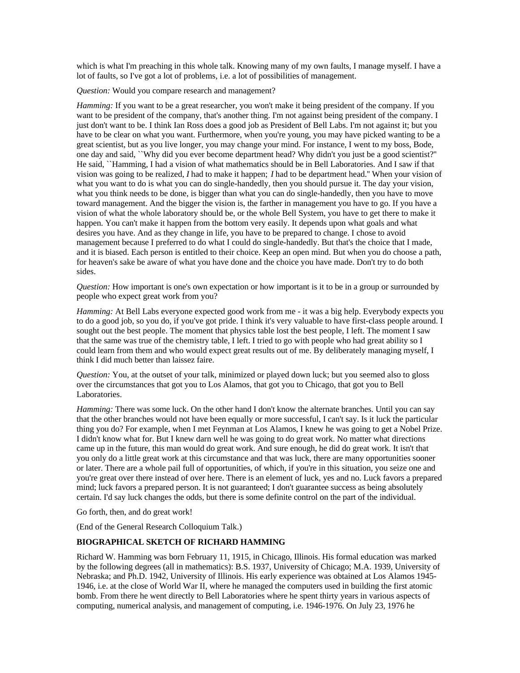which is what I'm preaching in this whole talk. Knowing many of my own faults, I manage myself. I have a lot of faults, so I've got a lot of problems, i.e. a lot of possibilities of management.

*Question:* Would you compare research and management?

*Hamming:* If you want to be a great researcher, you won't make it being president of the company. If you want to be president of the company, that's another thing. I'm not against being president of the company. I just don't want to be. I think Ian Ross does a good job as President of Bell Labs. I'm not against it; but you have to be clear on what you want. Furthermore, when you're young, you may have picked wanting to be a great scientist, but as you live longer, you may change your mind. For instance, I went to my boss, Bode, one day and said, ``Why did you ever become department head? Why didn't you just be a good scientist?'' He said, ``Hamming, I had a vision of what mathematics should be in Bell Laboratories. And I saw if that vision was going to be realized, *I* had to make it happen; *I* had to be department head.'' When your vision of what you want to do is what you can do single-handedly, then you should pursue it. The day your vision, what you think needs to be done, is bigger than what you can do single-handedly, then you have to move toward management. And the bigger the vision is, the farther in management you have to go. If you have a vision of what the whole laboratory should be, or the whole Bell System, you have to get there to make it happen. You can't make it happen from the bottom very easily. It depends upon what goals and what desires you have. And as they change in life, you have to be prepared to change. I chose to avoid management because I preferred to do what I could do single-handedly. But that's the choice that I made, and it is biased. Each person is entitled to their choice. Keep an open mind. But when you do choose a path, for heaven's sake be aware of what you have done and the choice you have made. Don't try to do both sides.

*Question:* How important is one's own expectation or how important is it to be in a group or surrounded by people who expect great work from you?

*Hamming:* At Bell Labs everyone expected good work from me - it was a big help. Everybody expects you to do a good job, so you do, if you've got pride. I think it's very valuable to have first-class people around. I sought out the best people. The moment that physics table lost the best people, I left. The moment I saw that the same was true of the chemistry table, I left. I tried to go with people who had great ability so I could learn from them and who would expect great results out of me. By deliberately managing myself, I think I did much better than laissez faire.

*Question:* You, at the outset of your talk, minimized or played down luck; but you seemed also to gloss over the circumstances that got you to Los Alamos, that got you to Chicago, that got you to Bell Laboratories.

*Hamming:* There was some luck. On the other hand I don't know the alternate branches. Until you can say that the other branches would not have been equally or more successful, I can't say. Is it luck the particular thing you do? For example, when I met Feynman at Los Alamos, I knew he was going to get a Nobel Prize. I didn't know what for. But I knew darn well he was going to do great work. No matter what directions came up in the future, this man would do great work. And sure enough, he did do great work. It isn't that you only do a little great work at this circumstance and that was luck, there are many opportunities sooner or later. There are a whole pail full of opportunities, of which, if you're in this situation, you seize one and you're great over there instead of over here. There is an element of luck, yes and no. Luck favors a prepared mind; luck favors a prepared person. It is not guaranteed; I don't guarantee success as being absolutely certain. I'd say luck changes the odds, but there is some definite control on the part of the individual.

Go forth, then, and do great work!

(End of the General Research Colloquium Talk.)

### **BIOGRAPHICAL SKETCH OF RICHARD HAMMING**

Richard W. Hamming was born February 11, 1915, in Chicago, Illinois. His formal education was marked by the following degrees (all in mathematics): B.S. 1937, University of Chicago; M.A. 1939, University of Nebraska; and Ph.D. 1942, University of Illinois. His early experience was obtained at Los Alamos 1945- 1946, i.e. at the close of World War II, where he managed the computers used in building the first atomic bomb. From there he went directly to Bell Laboratories where he spent thirty years in various aspects of computing, numerical analysis, and management of computing, i.e. 1946-1976. On July 23, 1976 he